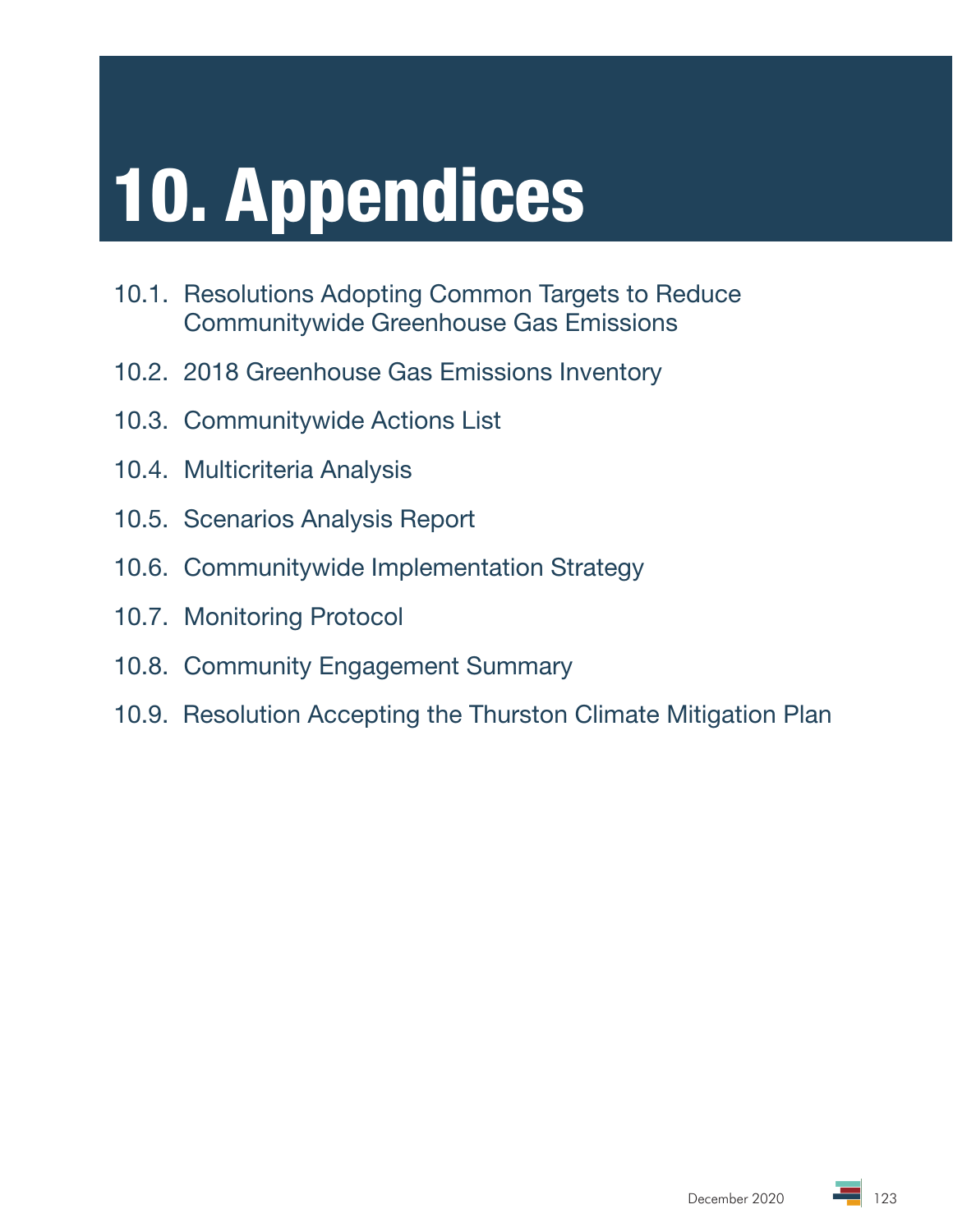# 10. Appendices

- 10.1. Resolutions Adopting Common Targets to Reduce Communitywide Greenhouse Gas Emissions
- 10.2. 2018 Greenhouse Gas Emissions Inventory
- 10.3. Communitywide Actions List
- 10.4. Multicriteria Analysis
- 10.5. Scenarios Analysis Report
- 10.6. Communitywide Implementation Strategy
- 10.7. Monitoring Protocol
- 10.8. Community Engagement Summary
- 10.9. Resolution Accepting the Thurston Climate Mitigation Plan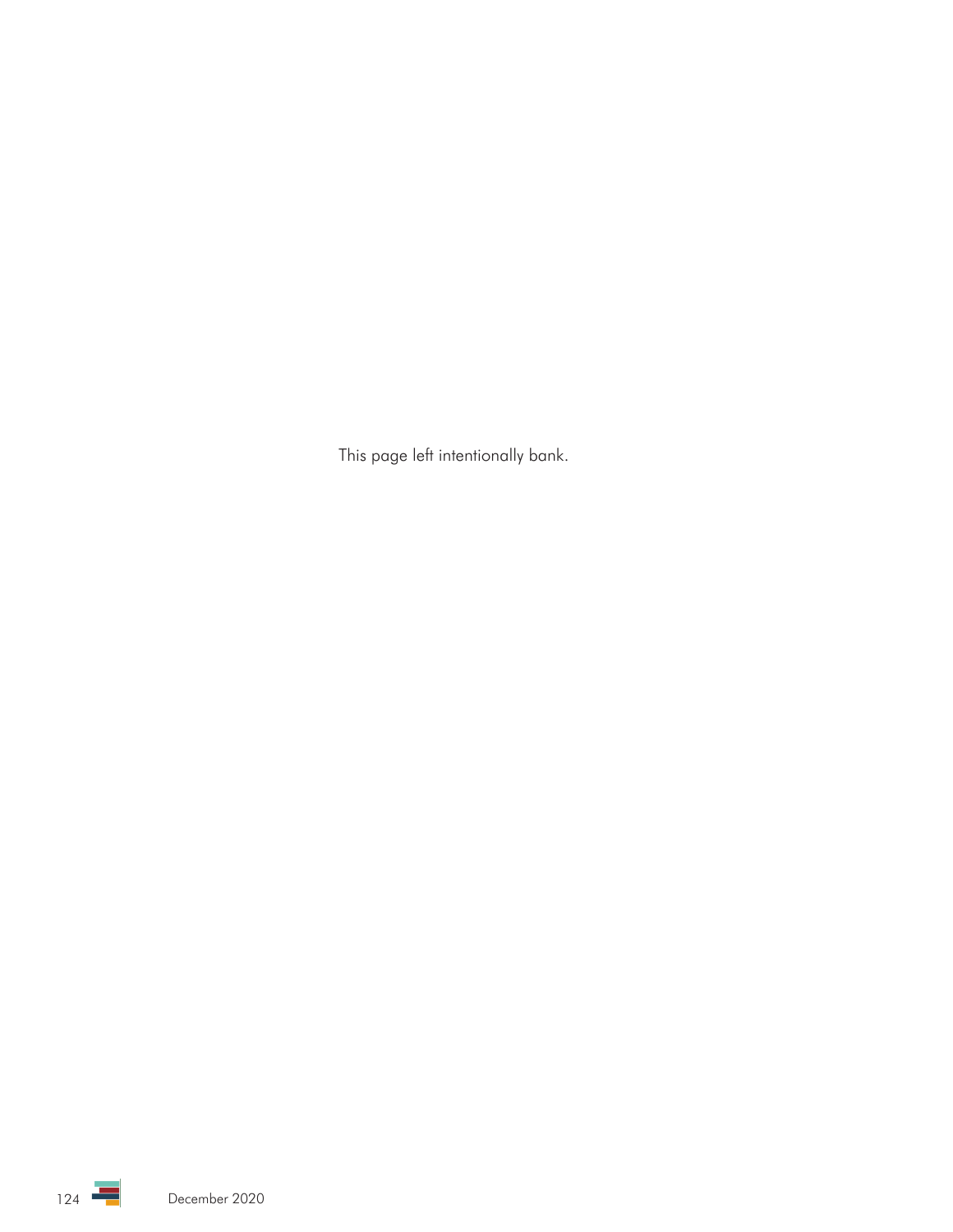This page left intentionally bank.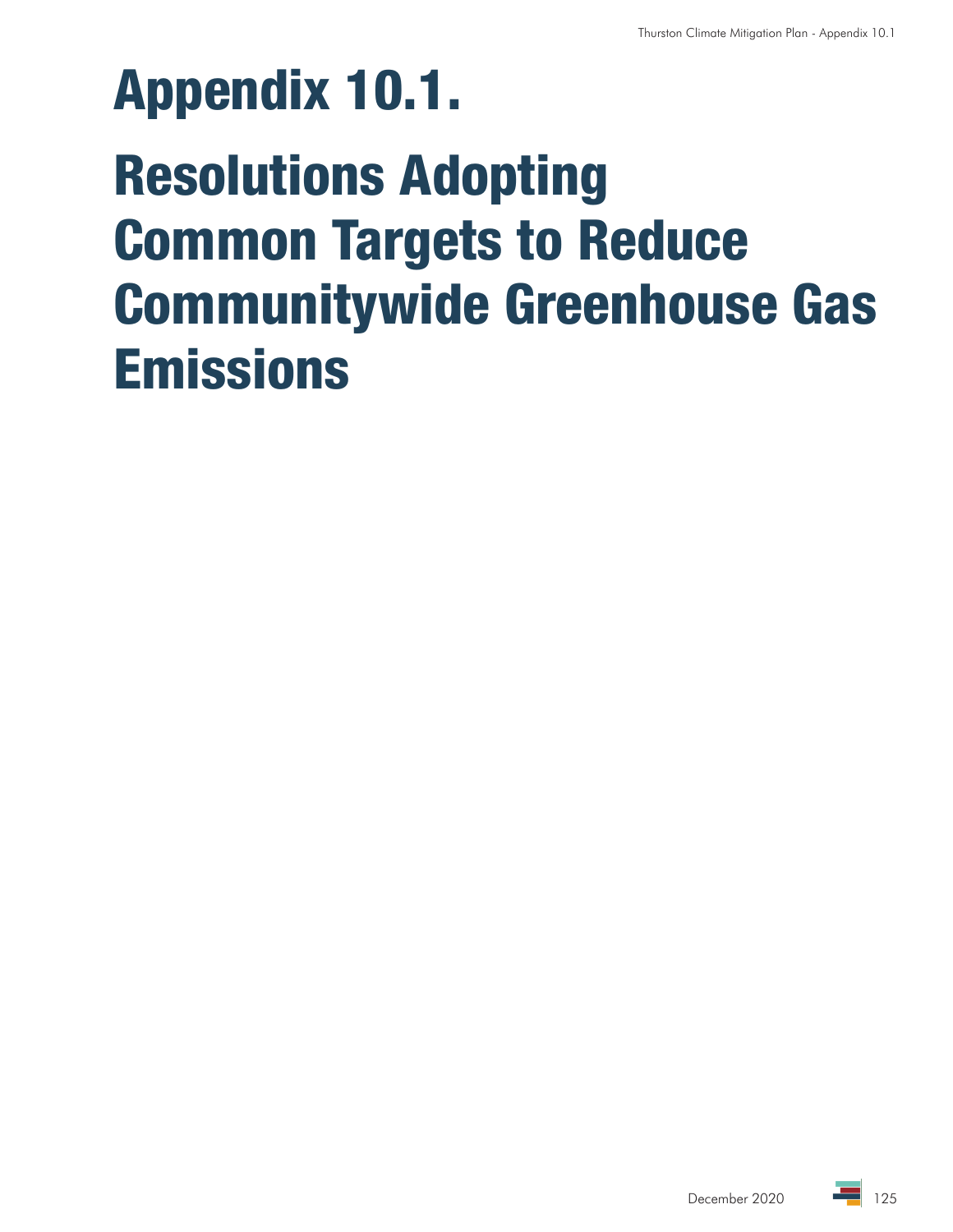## Appendix 10.1. Resolutions Adopting Common Targets to Reduce Communitywide Greenhouse Gas Emissions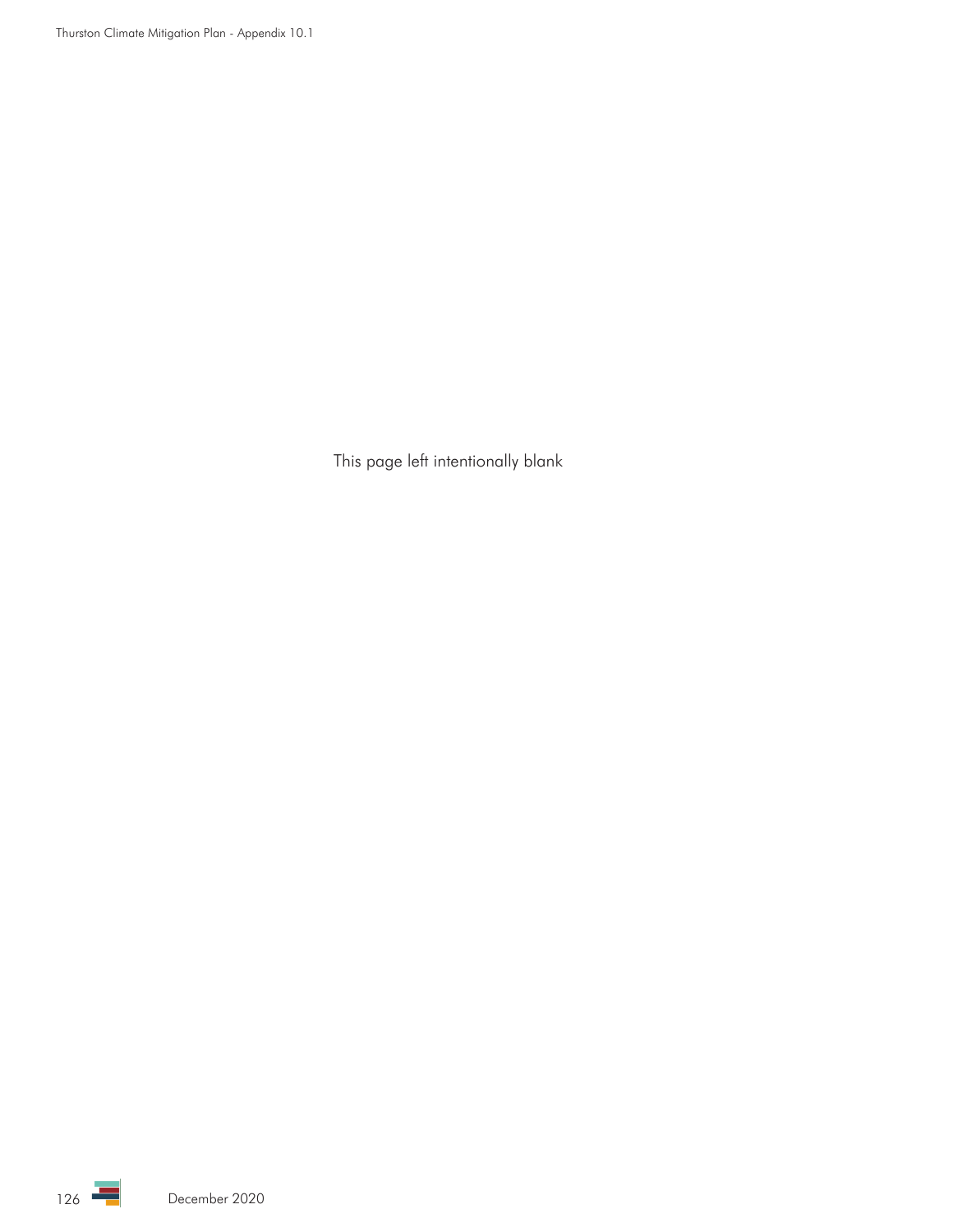Thurston Climate Mitigation Plan - Appendix 10.1

This page left intentionally blank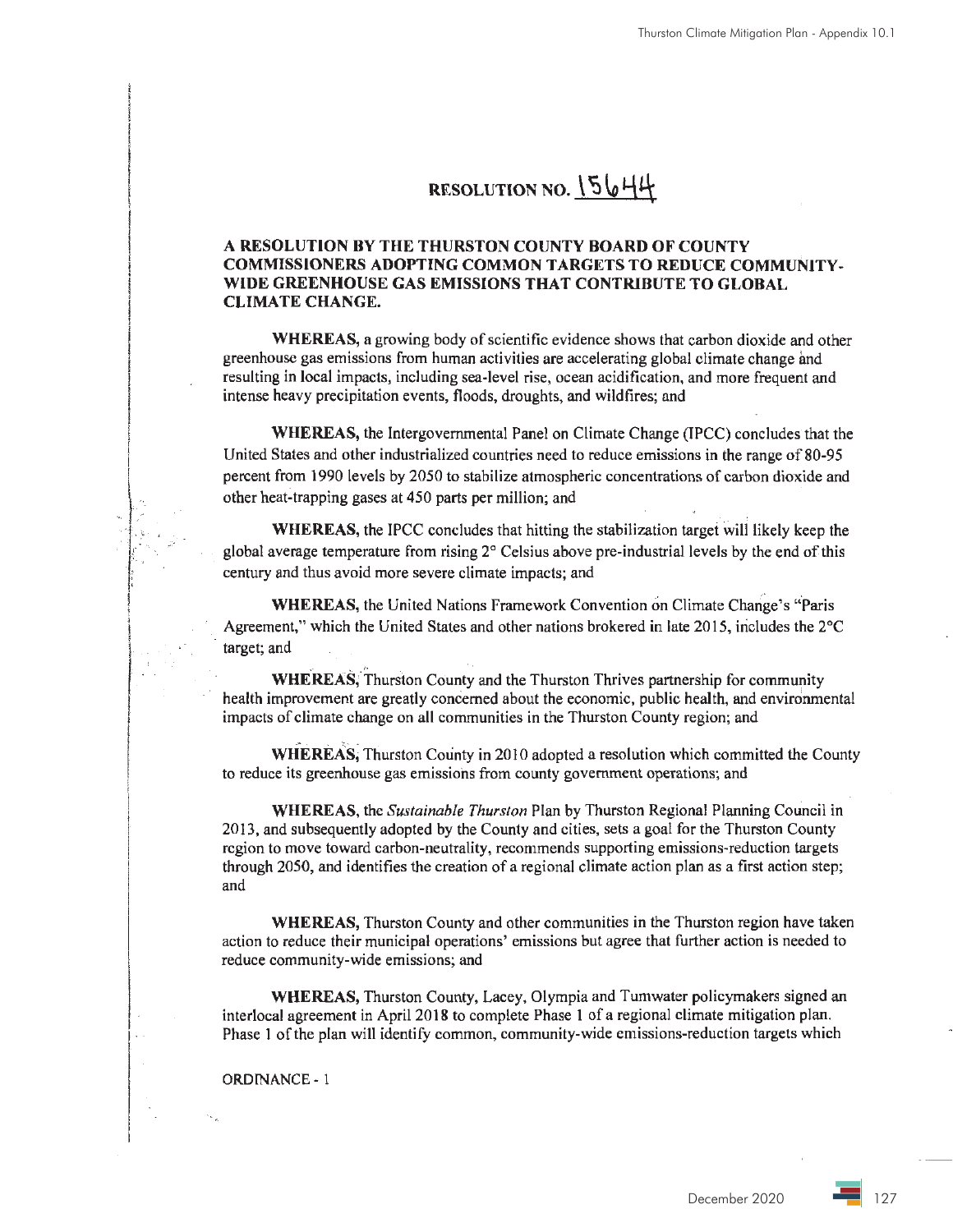### RESOLUTION NO. 15644

#### A RESOLUTION BY THE THURSTON COUNTY BOARD OF COUNTY COMMISSIONERS ADOPTING COMMON TARGETS TO REDUCE COMMUNITY-WIDE GREENHOUSE GAS EMISSIONS THAT CONTRIBUTE TO GLOBAL **CLIMATE CHANGE.**

**WHEREAS**, a growing body of scientific evidence shows that carbon dioxide and other greenhouse gas emissions from human activities are accelerating global climate change and resulting in local impacts, including sea-level rise, ocean acidification, and more frequent and intense heavy precipitation events, floods, droughts, and wildfires; and

**WHEREAS**, the Intergovernmental Panel on Climate Change (IPCC) concludes that the United States and other industrialized countries need to reduce emissions in the range of 80-95 percent from 1990 levels by 2050 to stabilize atmospheric concentrations of carbon dioxide and other heat-trapping gases at 450 parts per million; and

WHEREAS, the IPCC concludes that hitting the stabilization target will likely keep the global average temperature from rising  $2^\circ$  Celsius above pre-industrial levels by the end of this century and thus avoid more severe climate impacts; and

WHEREAS, the United Nations Framework Convention on Climate Change's "Paris Agreement," which the United States and other nations brokered in late 2015, includes the 2°C target; and

WHEREAS, Thurston County and the Thurston Thrives partnership for community health improvement are greatly concerned about the economic, public health, and environmental impacts of climate change on all communities in the Thurston County region; and

WHEREAS, Thurston County in 2010 adopted a resolution which committed the County to reduce its greenhouse gas emissions from county government operations; and

WHEREAS, the Sustainable Thurston Plan by Thurston Regional Planning Council in 2013, and subsequently adopted by the County and cities, sets a goal for the Thurston County region to move toward carbon-neutrality, recommends supporting emissions-reduction targets through 2050, and identifies the creation of a regional climate action plan as a first action step; and

WHEREAS, Thurston County and other communities in the Thurston region have taken action to reduce their municipal operations' emissions but agree that further action is needed to reduce community-wide emissions; and

WHEREAS, Thurston County, Lacey, Olympia and Tumwater policymakers signed an interlocal agreement in April 2018 to complete Phase 1 of a regional climate mitigation plan. Phase 1 of the plan will identify common, community-wide emissions-reduction targets which

ORDINANCE - 1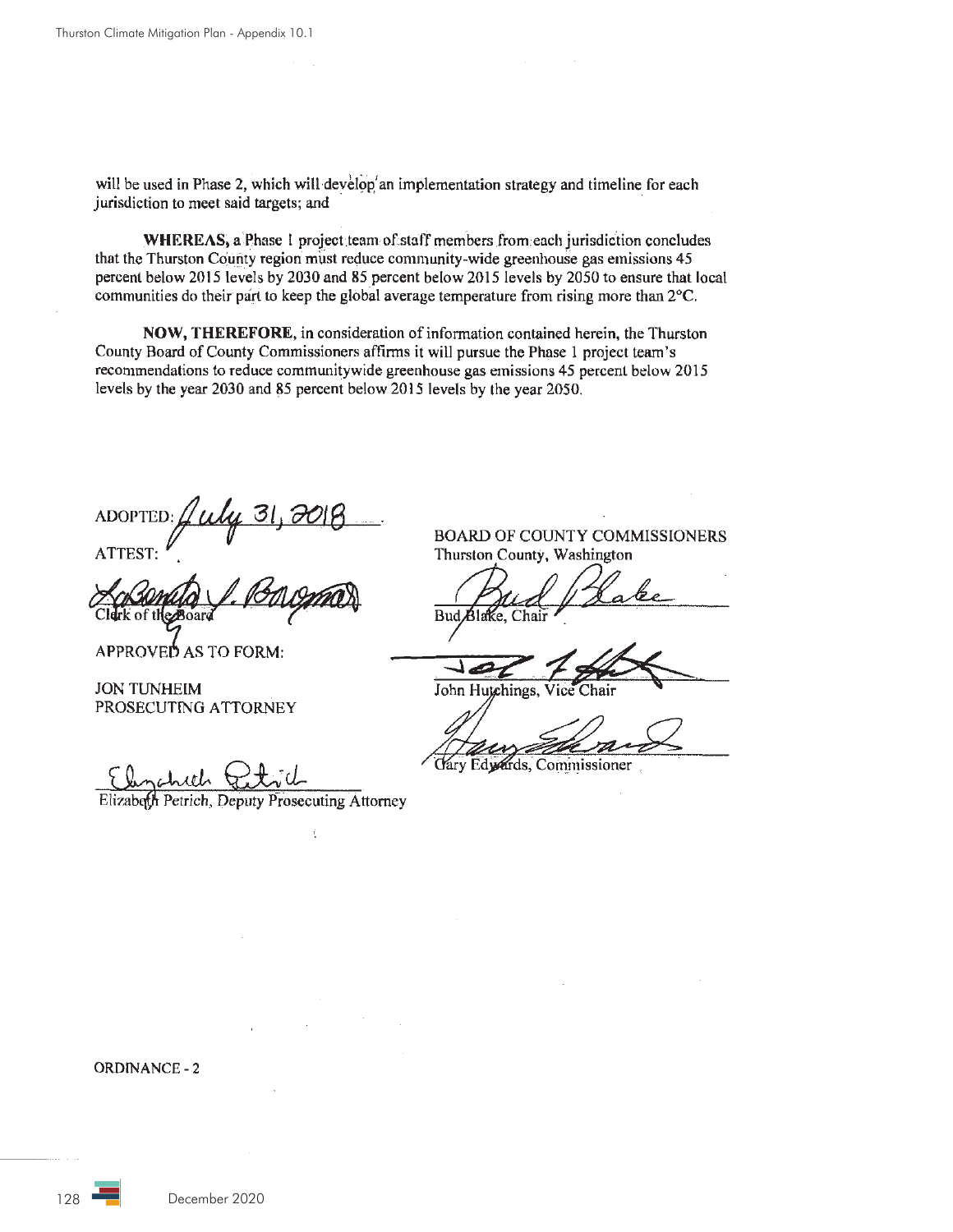will be used in Phase 2, which will develop an implementation strategy and timeline for each jurisdiction to meet said targets; and

WHEREAS, a Phase 1 project team of staff members from each jurisdiction concludes that the Thurston County region must reduce community-wide greenhouse gas emissions 45 percent below 2015 levels by 2030 and 85 percent below 2015 levels by 2050 to ensure that local communities do their part to keep the global average temperature from rising more than  $2^{\circ}C$ .

NOW, THEREFORE, in consideration of information contained herein, the Thurston County Board of County Commissioners affirms it will pursue the Phase 1 project team's recommendations to reduce communitywide greenhouse gas emissions 45 percent below 2015 levels by the year 2030 and 85 percent below 2015 levels by the year 2050.

**ADOPTED ATTEST** 

APPROVED AS TO FORM:

**JON TUNHEIM** PROSECUTING ATTORNEY

Elinchech

Elizabeth Petrich, Deputy Prosecuting Attorney

 $\mathfrak{t}$ 

**BOARD OF COUNTY COMMISSIONERS** Thurston County, Washington

3lake. Chair

John Hutchings, Chair

Cary Edyards, Commissioner

**ORDINANCE-2** 

December 2020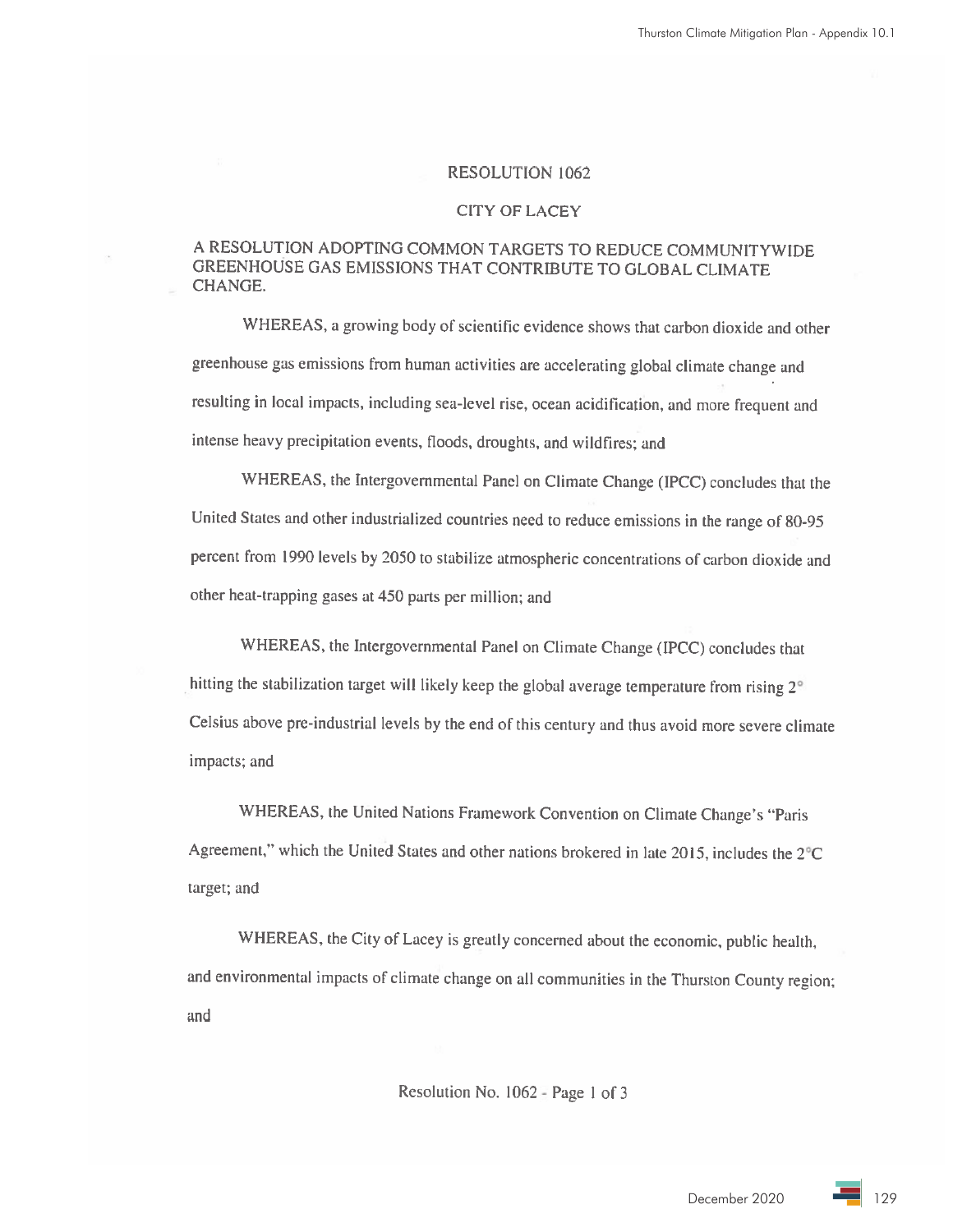#### **RESOLUTION 1062**

#### **CITY OF LACEY**

#### A RESOLUTION ADOPTING COMMON TARGETS TO REDUCE COMMUNITYWIDE GREENHOUSE GAS EMISSIONS THAT CONTRIBUTE TO GLOBAL CLIMATE CHANGE.

WHEREAS, a growing body of scientific evidence shows that carbon dioxide and other greenhouse gas emissions from human activities are accelerating global climate change and resulting in local impacts, including sea-level rise, ocean acidification, and more frequent and intense heavy precipitation events, floods, droughts, and wildfires; and

WHEREAS, the Intergovernmental Panel on Climate Change (IPCC) concludes that the United States and other industrialized countries need to reduce emissions in the range of 80-95 percent from 1990 levels by 2050 to stabilize atmospheric concentrations of carbon dioxide and other heat-trapping gases at 450 parts per million; and

WHEREAS, the Intergovernmental Panel on Climate Change (IPCC) concludes that hitting the stabilization target will likely keep the global average temperature from rising 2<sup>°</sup> Celsius above pre-industrial levels by the end of this century and thus avoid more severe climate impacts; and

WHEREAS, the United Nations Framework Convention on Climate Change's "Paris Agreement," which the United States and other nations brokered in late 2015, includes the 2°C target; and

WHEREAS, the City of Lacey is greatly concerned about the economic, public health, and environmental impacts of climate change on all communities in the Thurston County region; and

Resolution No. 1062 - Page 1 of 3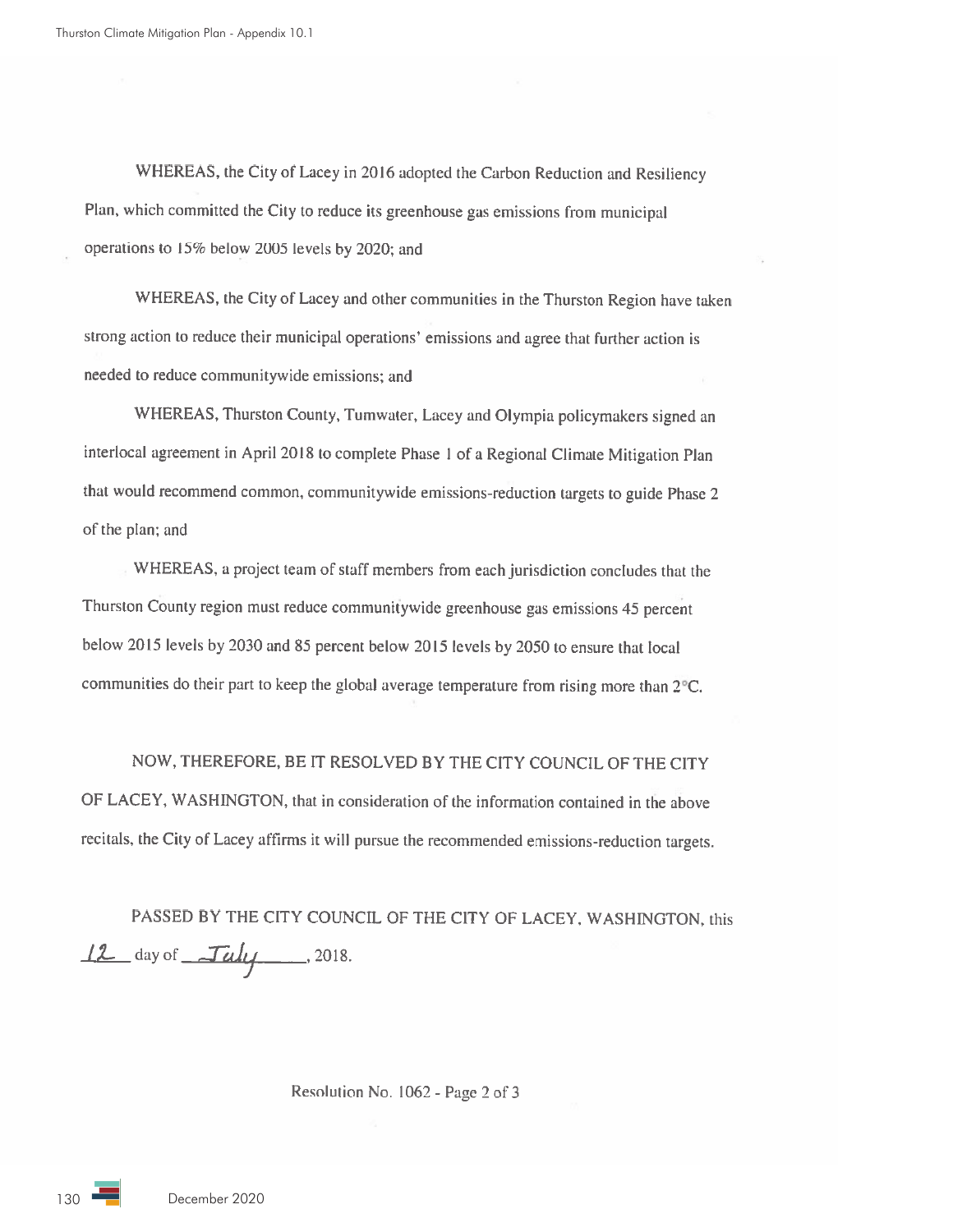WHEREAS, the City of Lacey in 2016 adopted the Carbon Reduction and Resiliency Plan, which committed the City to reduce its greenhouse gas emissions from municipal operations to 15% below 2005 levels by 2020; and

WHEREAS, the City of Lacey and other communities in the Thurston Region have taken strong action to reduce their municipal operations' emissions and agree that further action is needed to reduce communitywide emissions; and

WHEREAS, Thurston County, Tumwater, Lacey and Olympia policymakers signed an interlocal agreement in April 2018 to complete Phase 1 of a Regional Climate Mitigation Plan that would recommend common, communitywide emissions-reduction targets to guide Phase 2 of the plan; and

WHEREAS, a project team of staff members from each jurisdiction concludes that the Thurston County region must reduce communitywide greenhouse gas emissions 45 percent below 2015 levels by 2030 and 85 percent below 2015 levels by 2050 to ensure that local communities do their part to keep the global average temperature from rising more than 2°C.

NOW, THEREFORE, BE IT RESOLVED BY THE CITY COUNCIL OF THE CITY OF LACEY, WASHINGTON, that in consideration of the information contained in the above recitals, the City of Lacey affirms it will pursue the recommended emissions-reduction targets.

PASSED BY THE CITY COUNCIL OF THE CITY OF LACEY, WASHINGTON, this  $12$  day of  $Taly$  . 2018.

Resolution No. 1062 - Page 2 of 3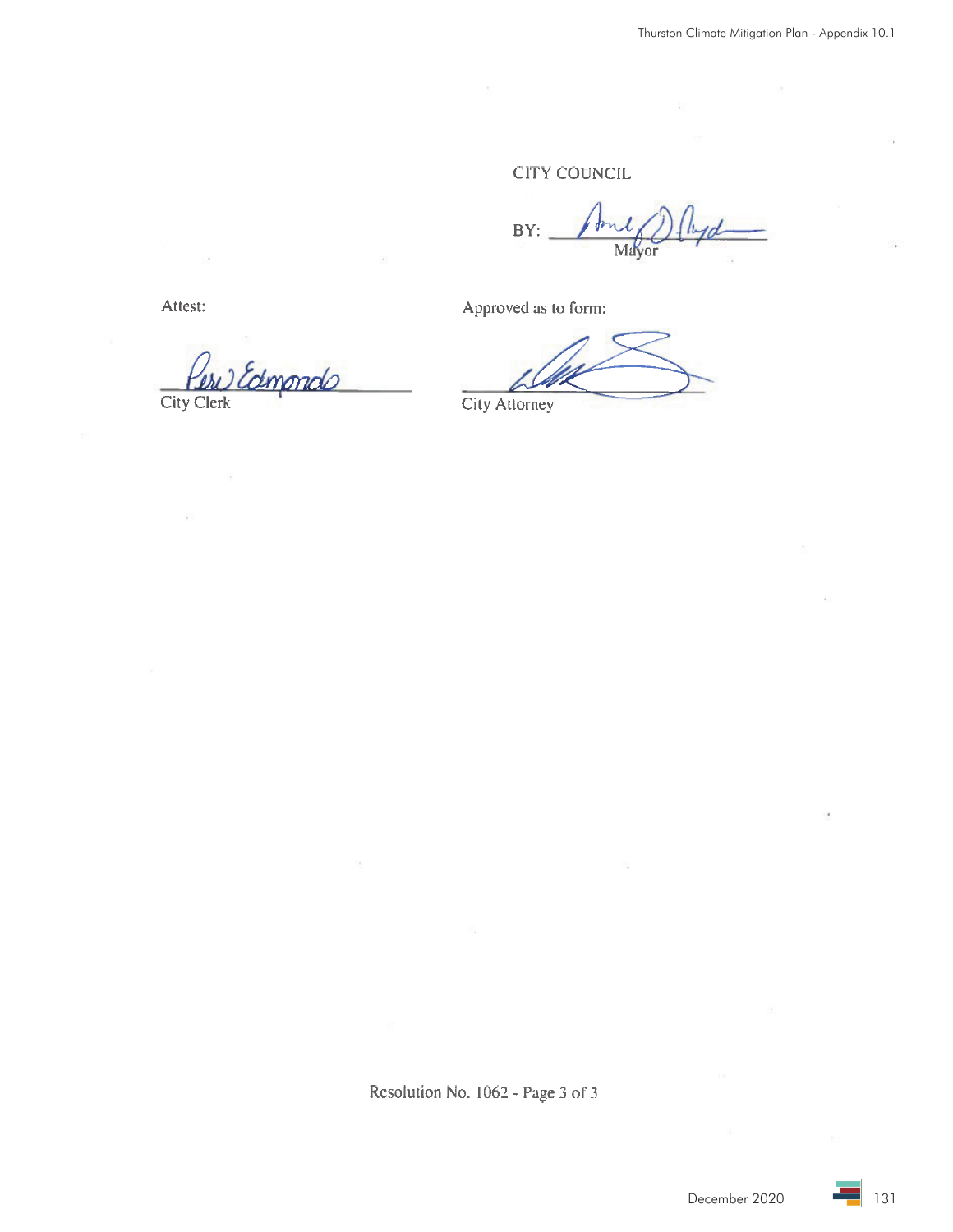**CITY COUNCIL** 

 $BY:$ Mayor

Attest:

City Clerk

Edmondo

Approved as to form:

City Attorney

Resolution No. 1062 - Page 3 of 3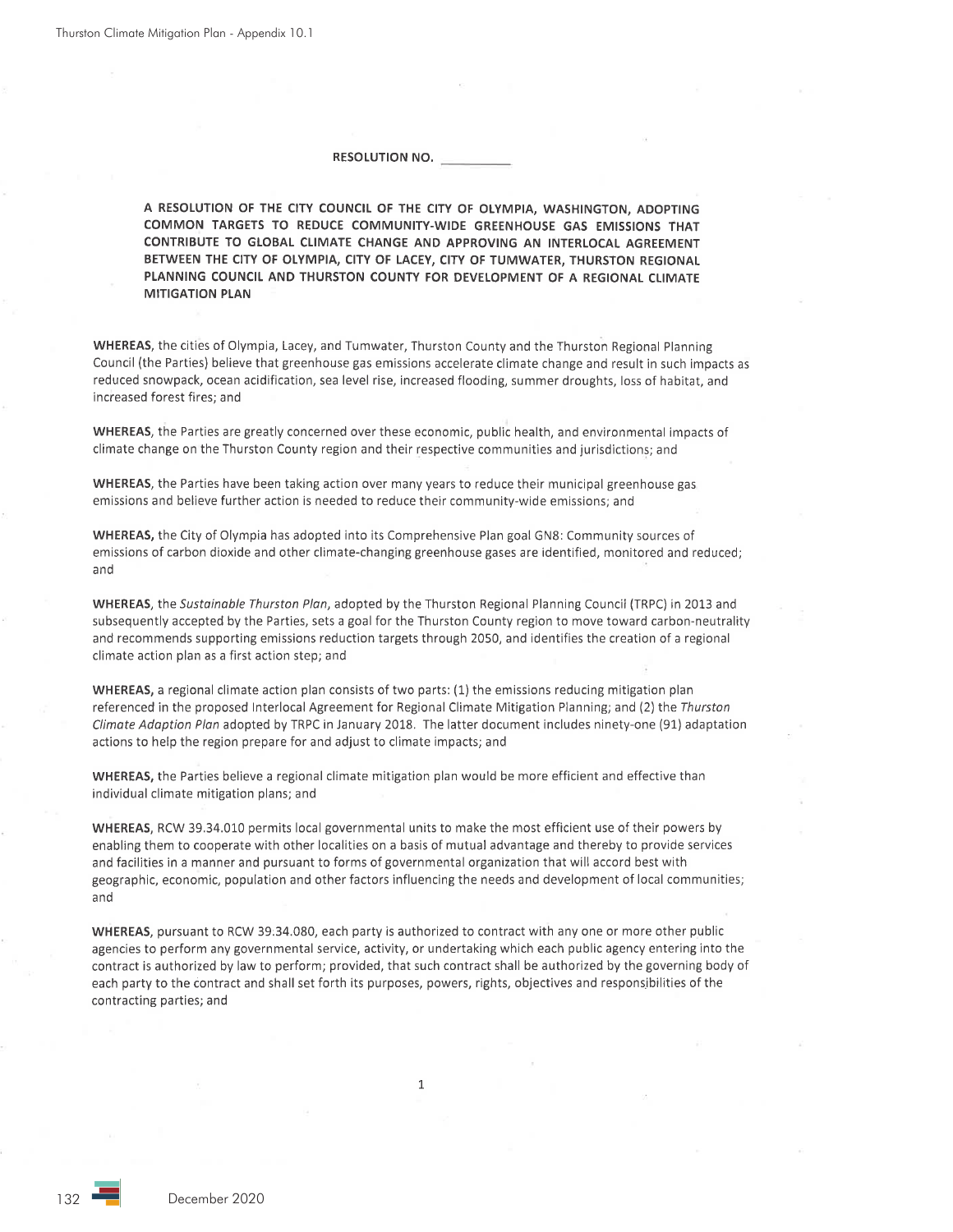#### **RESOLUTION NO.**

A RESOLUTION OF THE CITY COUNCIL OF THE CITY OF OLYMPIA, WASHINGTON, ADOPTING COMMON TARGETS TO REDUCE COMMUNITY-WIDE GREENHOUSE GAS EMISSIONS THAT CONTRIBUTE TO GLOBAL CLIMATE CHANGE AND APPROVING AN INTERLOCAL AGREEMENT BETWEEN THE CITY OF OLYMPIA, CITY OF LACEY, CITY OF TUMWATER, THURSTON REGIONAL PLANNING COUNCIL AND THURSTON COUNTY FOR DEVELOPMENT OF A REGIONAL CLIMATE **MITIGATION PLAN** 

WHEREAS, the cities of Olympia, Lacey, and Tumwater, Thurston County and the Thurston Regional Planning Council (the Parties) believe that greenhouse gas emissions accelerate climate change and result in such impacts as reduced snowpack, ocean acidification, sea level rise, increased flooding, summer droughts, loss of habitat, and increased forest fires: and

WHEREAS, the Parties are greatly concerned over these economic, public health, and environmental impacts of climate change on the Thurston County region and their respective communities and jurisdictions; and

WHEREAS, the Parties have been taking action over many years to reduce their municipal greenhouse gas emissions and believe further action is needed to reduce their community-wide emissions; and

WHEREAS, the City of Olympia has adopted into its Comprehensive Plan goal GN8: Community sources of emissions of carbon dioxide and other climate-changing greenhouse gases are identified, monitored and reduced; and

WHEREAS, the Sustainable Thurston Plan, adopted by the Thurston Regional Planning Council (TRPC) in 2013 and subsequently accepted by the Parties, sets a goal for the Thurston County region to move toward carbon-neutrality and recommends supporting emissions reduction targets through 2050, and identifies the creation of a regional climate action plan as a first action step; and

WHEREAS, a regional climate action plan consists of two parts: (1) the emissions reducing mitigation plan referenced in the proposed Interlocal Agreement for Regional Climate Mitigation Planning; and (2) the Thurston Climate Adaption Plan adopted by TRPC in January 2018. The latter document includes ninety-one (91) adaptation actions to help the region prepare for and adjust to climate impacts; and

WHEREAS, the Parties believe a regional climate mitigation plan would be more efficient and effective than individual climate mitigation plans; and

WHEREAS, RCW 39.34.010 permits local governmental units to make the most efficient use of their powers by enabling them to cooperate with other localities on a basis of mutual advantage and thereby to provide services and facilities in a manner and pursuant to forms of governmental organization that will accord best with geographic, economic, population and other factors influencing the needs and development of local communities; and

WHEREAS, pursuant to RCW 39:34.080, each party is authorized to contract with any one or more other public agencies to perform any governmental service, activity, or undertaking which each public agency entering into the contract is authorized by law to perform; provided, that such contract shall be authorized by the governing body of each party to the contract and shall set forth its purposes, powers, rights, objectives and responsibilities of the contracting parties; and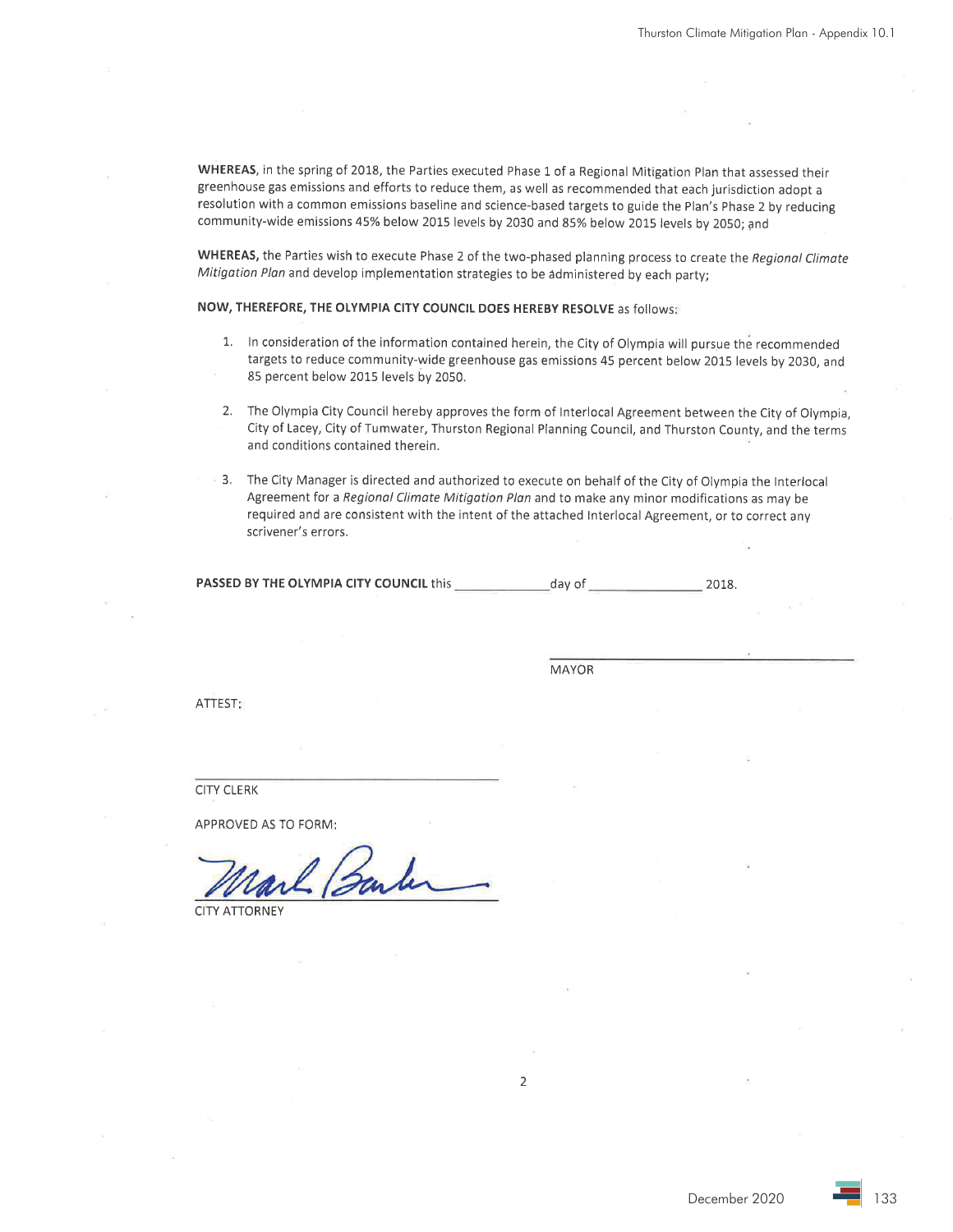WHEREAS, in the spring of 2018, the Parties executed Phase 1 of a Regional Mitigation Plan that assessed their greenhouse gas emissions and efforts to reduce them, as well as recommended that each jurisdiction adopt a resolution with a common emissions baseline and science-based targets to guide the Plan's Phase 2 by reducing community-wide emissions 45% below 2015 levels by 2030 and 85% below 2015 levels by 2050; and

WHEREAS, the Parties wish to execute Phase 2 of the two-phased planning process to create the Regional Climate Mitigation Plan and develop implementation strategies to be administered by each party;

#### NOW, THEREFORE, THE OLYMPIA CITY COUNCIL DOES HEREBY RESOLVE as follows:

- 1. In consideration of the information contained herein, the City of Olympia will pursue the recommended targets to reduce community-wide greenhouse gas emissions 45 percent below 2015 levels by 2030, and 85 percent below 2015 levels by 2050.
- 2. The Olympia City Council hereby approves the form of Interlocal Agreement between the City of Olympia, City of Lacey, City of Tumwater, Thurston Regional Planning Council, and Thurston County, and the terms and conditions contained therein.
- 3. The City Manager is directed and authorized to execute on behalf of the City of Olympia the Interlocal Agreement for a Regional Climate Mitigation Plan and to make any minor modifications as may be required and are consistent with the intent of the attached Interlocal Agreement, or to correct any scrivener's errors.

 $\overline{2}$ 

|  | <b>PASSED BY THE OLYMPIA CITY COUNCIL this</b> | dav of | 2018. |
|--|------------------------------------------------|--------|-------|
|--|------------------------------------------------|--------|-------|

**MAYOR** 

ATTEST:

**CITY CLERK** 

APPROVED AS TO FORM:

**CITY ATTORNEY**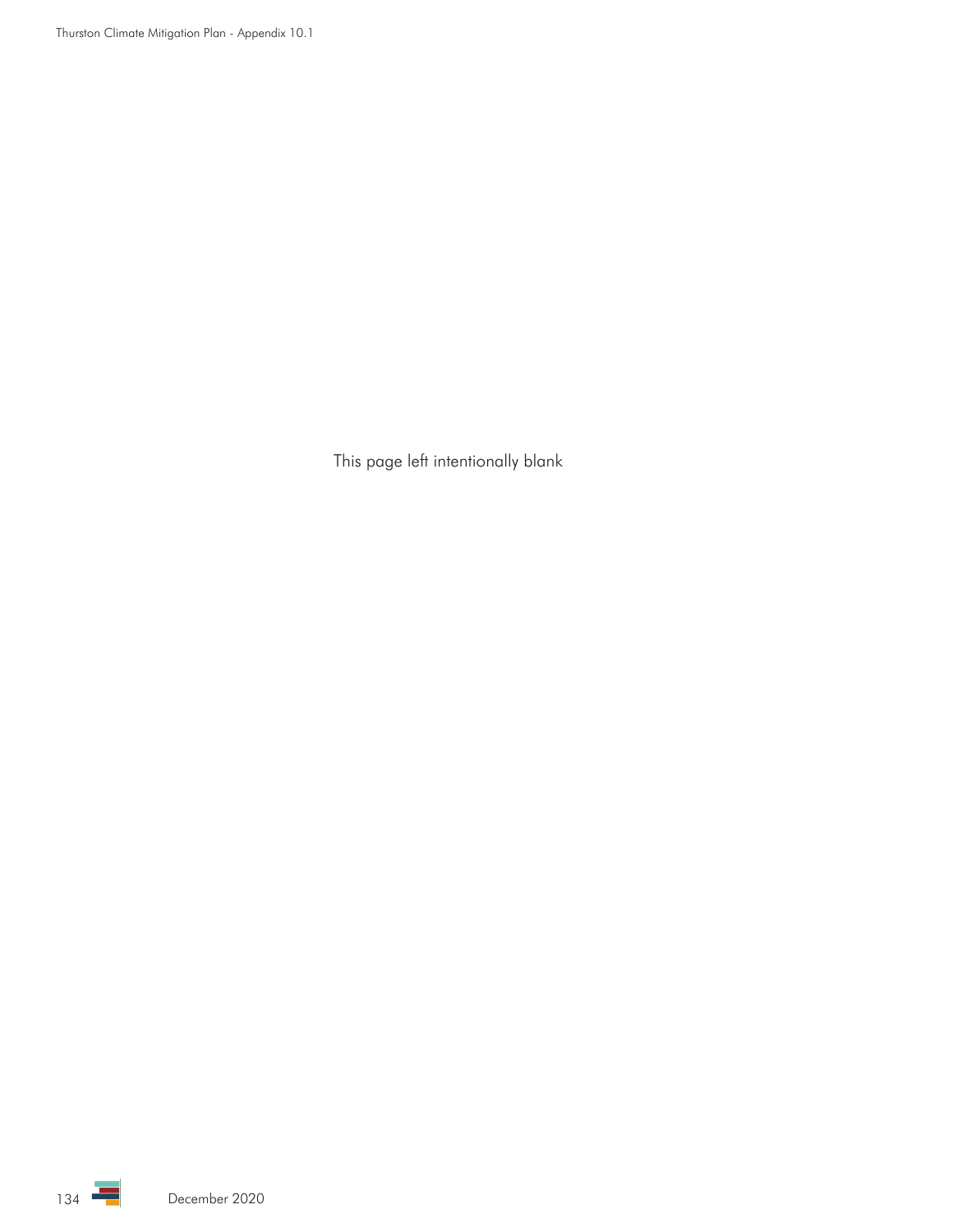Thurston Climate Mitigation Plan - Appendix 10.1

This page left intentionally blank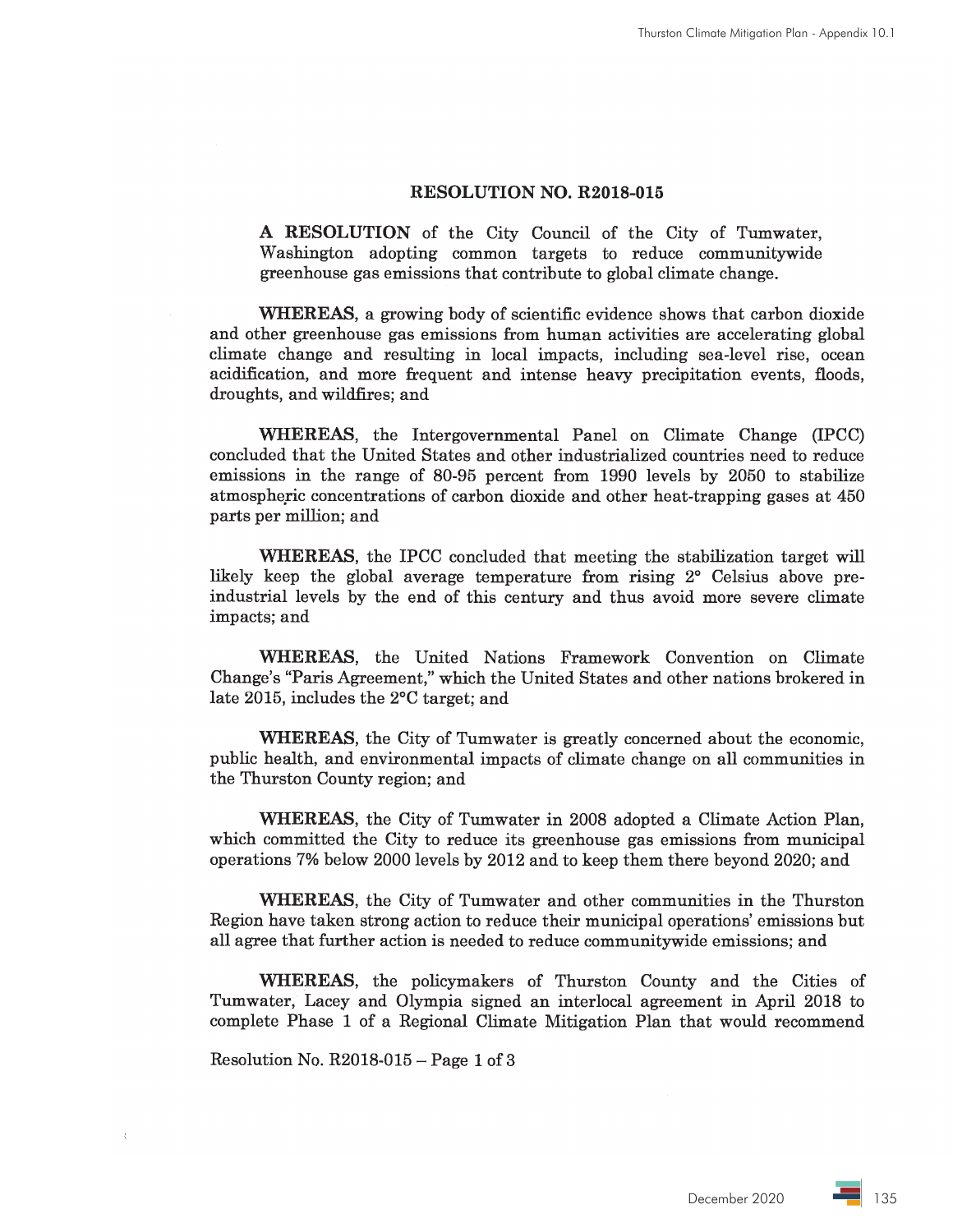#### RESOLUTION NO. R2018-015

A RESOLUTION of the City Council of the City of Tumwater, Washington adopting common targets to reduce communitywide greenhouse gas emissions that contribute to global climate change.

WHEREAS, a growing body of scientific evidence shows that carbon dioxide and other greenhouse gas emissions from human activities are accelerating global climate change and resulting in local impacts, including sea-level rise, ocean acidification, and more frequent and intense heavy precipitation events, floods, droughts, and wildfires; and

WHEREAS, the Intergovernmental Panel on Climate Change (IPCC) concluded that the United States and other industrialized countries need to reduce emissions in the range of 80-95 percent from 1990 levels by 2050 to stabilize atmospheric concentrations of carbon dioxide and other heat-trapping gases at 450 parts per million; and

WHEREAS, the IPCC concluded that meeting the stabilization target will likely keep the global average temperature from rising 2° Celsius above preindustrial levels by the end of this century and thus avoid more severe climate impacts; and

WHEREAS, the United Nations Framework Convention on Climate Change's "Paris Agreement," which the United States and other nations brokered in late 2015, includes the 2°C target; and

**WHEREAS**, the City of Tumwater is greatly concerned about the economic, public health, and environmental impacts of climate change on all communities in the Thurston County region; and

**WHEREAS**, the City of Tumwater in 2008 adopted a Climate Action Plan, which committed the City to reduce its greenhouse gas emissions from municipal operations 7% below 2000 levels by 2012 and to keep them there beyond 2020; and

WHEREAS, the City of Tumwater and other communities in the Thurston Region have taken strong action to reduce their municipal operations' emissions but all agree that further action is needed to reduce community wide emissions; and

WHEREAS, the policymakers of Thurston County and the Cities of Tumwater, Lacey and Olympia signed an interlocal agreement in April 2018 to complete Phase 1 of a Regional Climate Mitigation Plan that would recommend

Resolution No.  $R2018-015$  – Page 1 of 3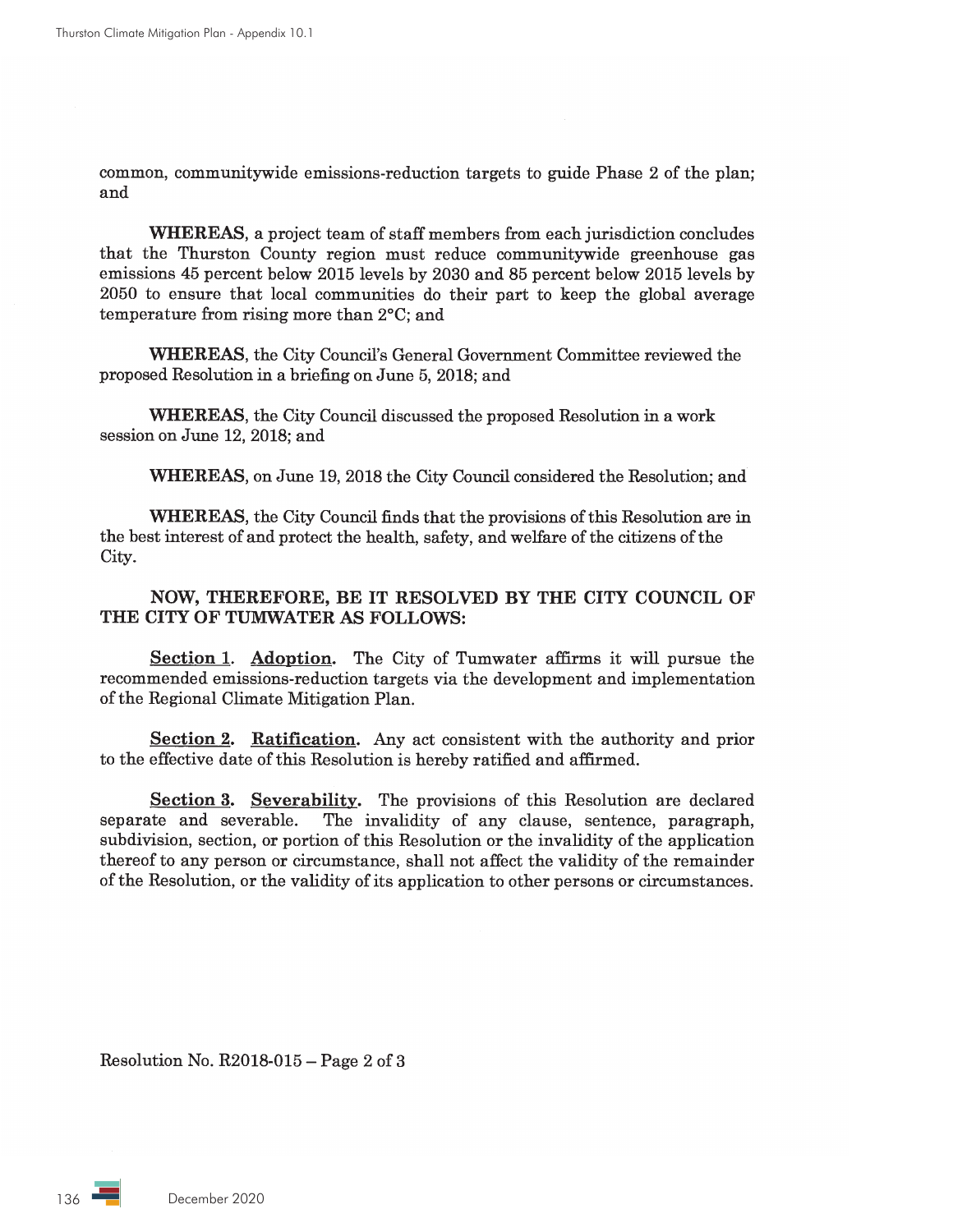common, communitywide emissions-reduction targets to guide Phase 2 of the plan; and

**WHEREAS, a project team of staff members from each jurisdiction concludes** that the Thurston County region must reduce community wide greenhouse gas emissions 45 percent below 2015 levels by 2030 and 85 percent below 2015 levels by 2050 to ensure that local communities do their part to keep the global average temperature from rising more than 2°C; and

**WHEREAS, the City Council's General Government Committee reviewed the** proposed Resolution in a briefing on June 5, 2018; and

**WHEREAS**, the City Council discussed the proposed Resolution in a work session on June 12, 2018; and

**WHEREAS**, on June 19, 2018 the City Council considered the Resolution; and

**WHEREAS**, the City Council finds that the provisions of this Resolution are in the best interest of and protect the health, safety, and welfare of the citizens of the City.

NOW, THEREFORE, BE IT RESOLVED BY THE CITY COUNCIL OF THE CITY OF TUMWATER AS FOLLOWS:

Section 1. Adoption. The City of Tumwater affirms it will pursue the recommended emissions-reduction targets via the development and implementation of the Regional Climate Mitigation Plan.

**Section 2.** Ratification. Any act consistent with the authority and prior to the effective date of this Resolution is hereby ratified and affirmed.

Section 3. Severability. The provisions of this Resolution are declared separate and severable. The invalidity of any clause, sentence, paragraph, subdivision, section, or portion of this Resolution or the invalidity of the application thereof to any person or circumstance, shall not affect the validity of the remainder of the Resolution, or the validity of its application to other persons or circumstances.

Resolution No.  $R2018-015$  – Page 2 of 3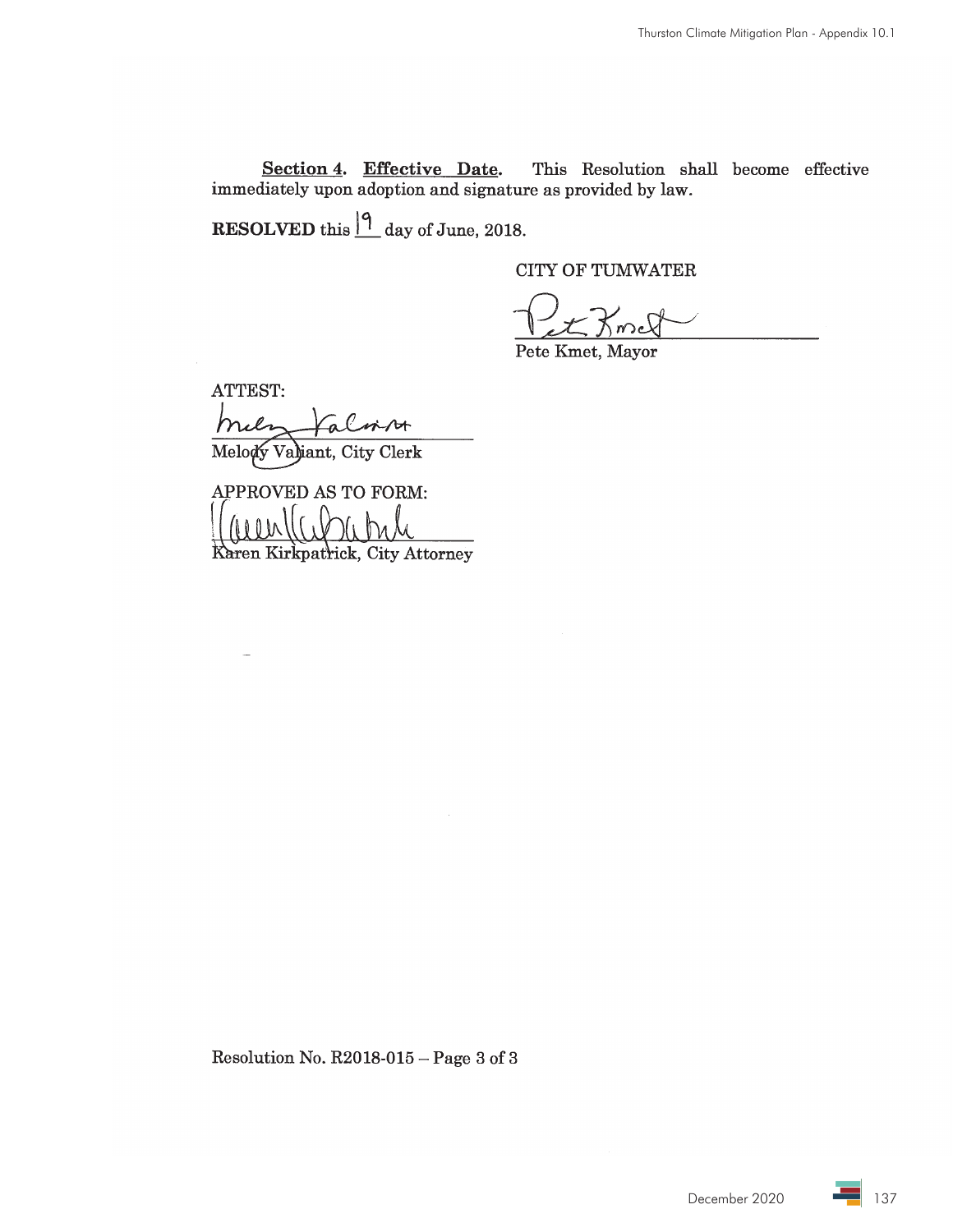Section 4. Effective Date. This Resolution sh<br>immediately upon adoption and signature as provided by law. This Resolution shall become effective

**RESOLVED** this  $\frac{9}{4}$  day of June, 2018.

**CITY OF TUMWATER** 

5mc

Pete Kmet, Mayor

ATTEST:

mila Valviron

Melody Valiant, City Clerk

APPROVED AS TO FORM: Karen Kirkpatrick, City Attorney

Resolution No.  $R2018-015$  – Page 3 of 3